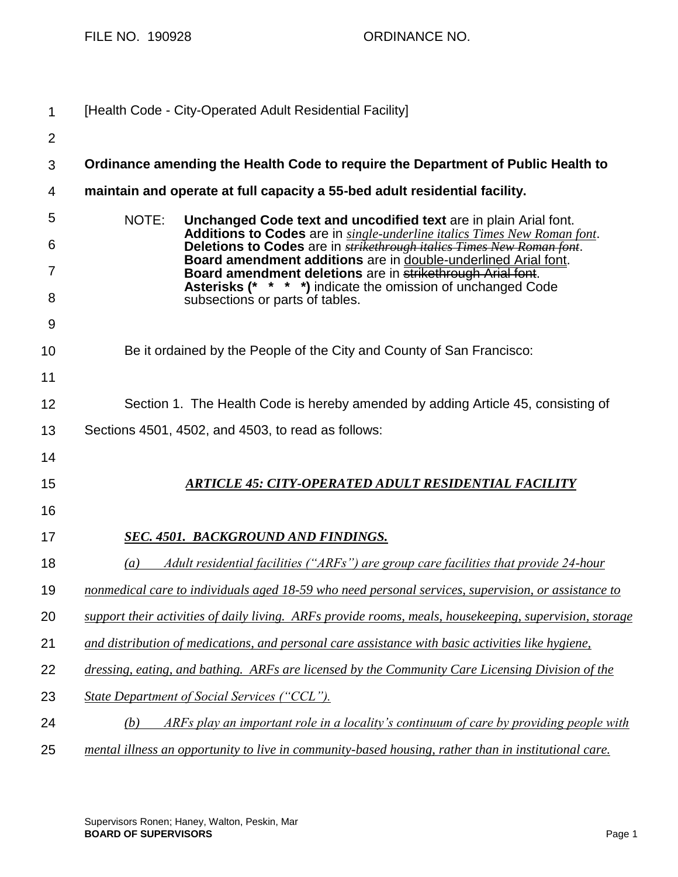| 1              | [Health Code - City-Operated Adult Residential Facility]                                                                                          |
|----------------|---------------------------------------------------------------------------------------------------------------------------------------------------|
| $\overline{2}$ |                                                                                                                                                   |
| 3              | Ordinance amending the Health Code to require the Department of Public Health to                                                                  |
| 4              | maintain and operate at full capacity a 55-bed adult residential facility.                                                                        |
| 5              | NOTE:<br>Unchanged Code text and uncodified text are in plain Arial font.                                                                         |
| 6              | Additions to Codes are in single-underline italics Times New Roman font.<br>Deletions to Codes are in strikethrough italics Times New Roman font. |
| 7              | Board amendment additions are in double-underlined Arial font.<br>Board amendment deletions are in strikethrough Arial font.                      |
| 8              | Asterisks (* * * *) indicate the omission of unchanged Code<br>subsections or parts of tables.                                                    |
| 9              |                                                                                                                                                   |
| 10             | Be it ordained by the People of the City and County of San Francisco:                                                                             |
| 11             |                                                                                                                                                   |
| 12             | Section 1. The Health Code is hereby amended by adding Article 45, consisting of                                                                  |
| 13             | Sections 4501, 4502, and 4503, to read as follows:                                                                                                |
| 14             |                                                                                                                                                   |
| 15             | <b>ARTICLE 45: CITY-OPERATED ADULT RESIDENTIAL FACILITY</b>                                                                                       |
| 16             |                                                                                                                                                   |
| 17             | <b>SEC. 4501. BACKGROUND AND FINDINGS.</b>                                                                                                        |
| 18             | Adult residential facilities ("ARFs") are group care facilities that provide 24-hour<br>(a)                                                       |
| 19             | nonmedical care to individuals aged 18-59 who need personal services, supervision, or assistance to                                               |
| 20             | support their activities of daily living. ARFs provide rooms, meals, housekeeping, supervision, storage                                           |
| 21             | and distribution of medications, and personal care assistance with basic activities like hygiene,                                                 |
| 22             | dressing, eating, and bathing. ARFs are licensed by the Community Care Licensing Division of the                                                  |
| 23             | State Department of Social Services ("CCL").                                                                                                      |
| 24             | ARFs play an important role in a locality's continuum of care by providing people with<br>(b)                                                     |
| 25             | mental illness an opportunity to live in community-based housing, rather than in institutional care.                                              |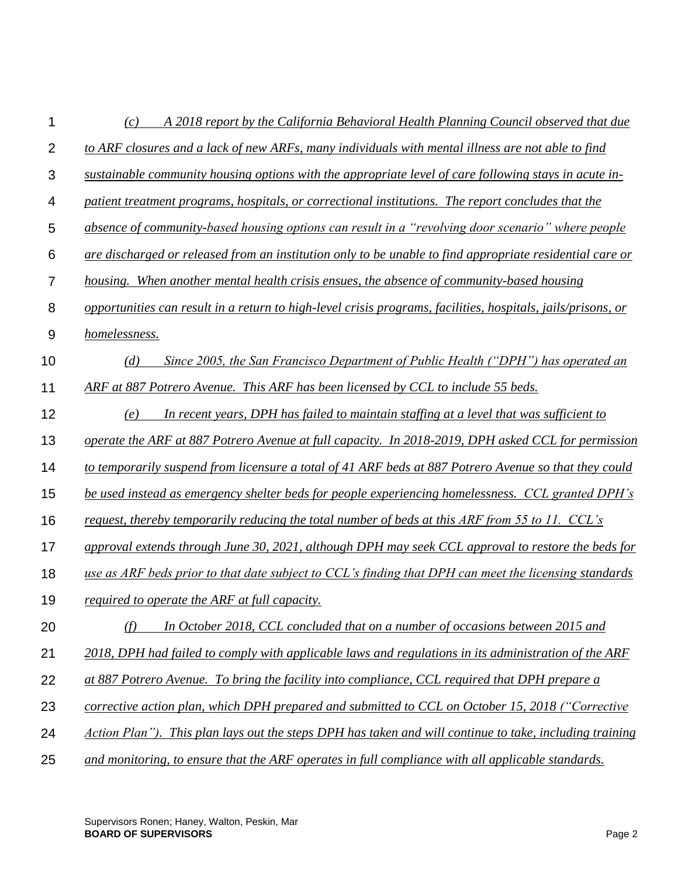| 1              | A 2018 report by the California Behavioral Health Planning Council observed that due<br>(c)                  |
|----------------|--------------------------------------------------------------------------------------------------------------|
| $\overline{2}$ | to ARF closures and a lack of new ARFs, many individuals with mental illness are not able to find            |
| 3              | sustainable community housing options with the appropriate level of care following stays in acute in-        |
| 4              | patient treatment programs, hospitals, or correctional institutions. The report concludes that the           |
| 5              | absence of community-based housing options can result in a "revolving door scenario" where people            |
| 6              | are discharged or released from an institution only to be unable to find appropriate residential care or     |
| 7              | housing. When another mental health crisis ensues, the absence of community-based housing                    |
| 8              | opportunities can result in a return to high-level crisis programs, facilities, hospitals, jails/prisons, or |
| 9              | homelessness.                                                                                                |
| 10             | Since 2005, the San Francisco Department of Public Health ("DPH") has operated an<br>(d)                     |
| 11             | ARF at 887 Potrero Avenue. This ARF has been licensed by CCL to include 55 beds.                             |
| 12             | In recent years, DPH has failed to maintain staffing at a level that was sufficient to<br>(e)                |
| 13             | operate the ARF at 887 Potrero Avenue at full capacity. In 2018-2019, DPH asked CCL for permission           |
| 14             | to temporarily suspend from licensure a total of 41 ARF beds at 887 Potrero Avenue so that they could        |
| 15             | be used instead as emergency shelter beds for people experiencing homelessness. CCL granted DPH's            |
| 16             | request, thereby temporarily reducing the total number of beds at this ARF from 55 to 11. CCL's              |
| 17             | approval extends through June 30, 2021, although DPH may seek CCL approval to restore the beds for           |
| 18             | use as ARF beds prior to that date subject to CCL's finding that DPH can meet the licensing standards        |
| 19             | required to operate the ARF at full capacity.                                                                |
| 20             | In October 2018, CCL concluded that on a number of occasions between 2015 and<br>(f)                         |
| 21             | 2018, DPH had failed to comply with applicable laws and regulations in its administration of the ARF         |
| 22             | at 887 Potrero Avenue. To bring the facility into compliance, CCL required that DPH prepare a                |
| 23             | corrective action plan, which DPH prepared and submitted to CCL on October 15, 2018 ("Corrective             |
| 24             | Action Plan"). This plan lays out the steps DPH has taken and will continue to take, including training      |
| 25             | and monitoring, to ensure that the ARF operates in full compliance with all applicable standards.            |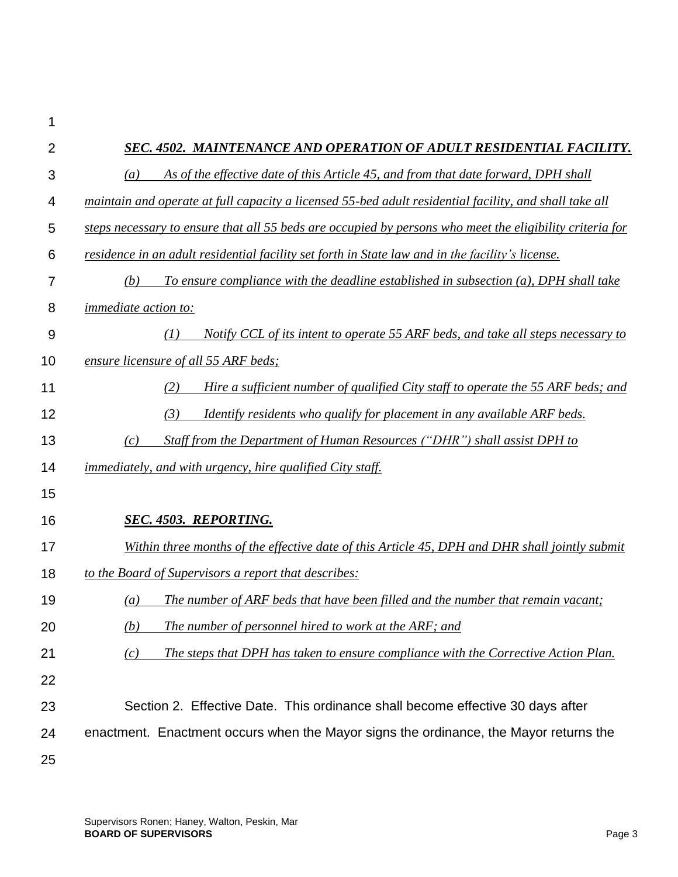| $\overline{2}$ | SEC. 4502. MAINTENANCE AND OPERATION OF ADULT RESIDENTIAL FACILITY.                                      |
|----------------|----------------------------------------------------------------------------------------------------------|
| 3              | As of the effective date of this Article 45, and from that date forward, DPH shall<br>(a)                |
| 4              | maintain and operate at full capacity a licensed 55-bed adult residential facility, and shall take all   |
| 5              | steps necessary to ensure that all 55 beds are occupied by persons who meet the eligibility criteria for |
| 6              | residence in an adult residential facility set forth in State law and in the facility's license.         |
| 7              | (b)<br>To ensure compliance with the deadline established in subsection (a), DPH shall take              |
| 8              | <i>immediate action to:</i>                                                                              |
| 9              | Notify CCL of its intent to operate 55 ARF beds, and take all steps necessary to<br>(I)                  |
| 10             | ensure licensure of all 55 ARF beds;                                                                     |
| 11             | (2)<br>Hire a sufficient number of qualified City staff to operate the 55 ARF beds; and                  |
| 12             | (3)<br>Identify residents who qualify for placement in any available ARF beds.                           |
| 13             | Staff from the Department of Human Resources ("DHR") shall assist DPH to<br>(c)                          |
| 14             | <i>immediately, and with urgency, hire qualified City staff.</i>                                         |
| 15             |                                                                                                          |
| 16             | <b>SEC. 4503. REPORTING.</b>                                                                             |
| 17             | Within three months of the effective date of this Article 45, DPH and DHR shall jointly submit           |
| 18             | to the Board of Supervisors a report that describes:                                                     |
| 19             | The number of ARF beds that have been filled and the number that remain vacant;<br>(a)                   |
| 20             | The number of personnel hired to work at the ARF; and<br>(b)                                             |
| 21             | The steps that DPH has taken to ensure compliance with the Corrective Action Plan.<br>(c)                |
| 22             |                                                                                                          |
| 23             | Section 2. Effective Date. This ordinance shall become effective 30 days after                           |
| 24             | enactment. Enactment occurs when the Mayor signs the ordinance, the Mayor returns the                    |
| 25             |                                                                                                          |

1